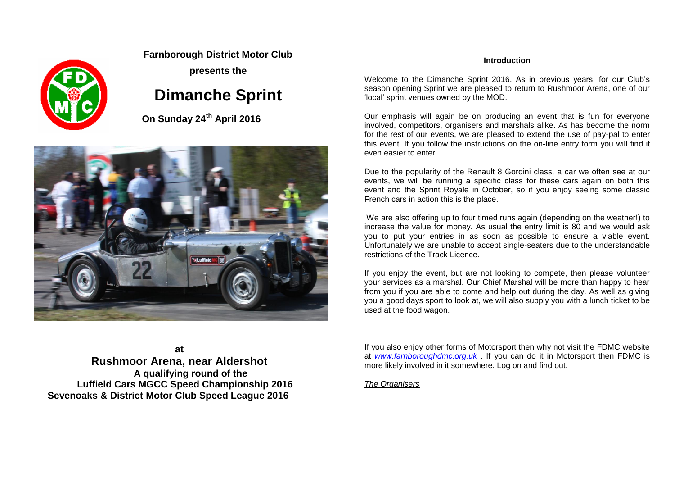

#### **Farnborough District Motor Club**

**presents the**

### **Dimanche Sprint**

 **On Sunday 24th April 2016**



**at Rushmoor Arena, near Aldershot A qualifying round of the Luffield Cars MGCC Speed Championship 2016 Sevenoaks & District Motor Club Speed League 2016**

#### **Introduction**

Welcome to the Dimanche Sprint 2016. As in previous years, for our Club's season opening Sprint we are pleased to return to Rushmoor Arena, one of our 'local' sprint venues owned by the MOD.

Our emphasis will again be on producing an event that is fun for everyone involved, competitors, organisers and marshals alike. As has become the norm for the rest of our events, we are pleased to extend the use of pay-pal to enter this event. If you follow the instructions on the on-line entry form you will find it even easier to enter

Due to the popularity of the Renault 8 Gordini class, a car we often see at our events, we will be running a specific class for these cars again on both this event and the Sprint Royale in October, so if you enjoy seeing some classic French cars in action this is the place.

We are also offering up to four timed runs again (depending on the weather!) to increase the value for money. As usual the entry limit is 80 and we would ask you to put your entries in as soon as possible to ensure a viable event. Unfortunately we are unable to accept single-seaters due to the understandable restrictions of the Track Licence.

If you enjoy the event, but are not looking to compete, then please volunteer your services as a marshal. Our Chief Marshal will be more than happy to hear from you if you are able to come and help out during the day. As well as giving you a good days sport to look at, we will also supply you with a lunch ticket to be used at the food wagon.

If you also enjoy other forms of Motorsport then why not visit the FDMC website at *[www.farnboroughdmc.org.uk](http://www.farnboroughdmc.org.uk/)* . If you can do it in Motorsport then FDMC is more likely involved in it somewhere. Log on and find out.

*The Organisers*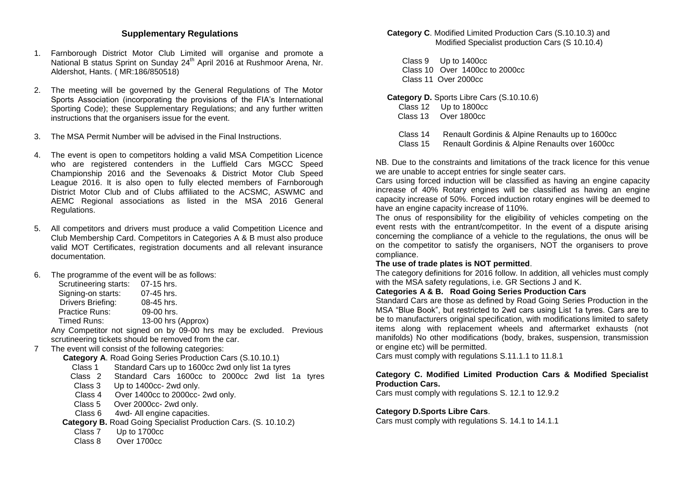#### **Supplementary Regulations**

- 1. Farnborough District Motor Club Limited will organise and promote a National B status Sprint on Sunday 24<sup>th</sup> April 2016 at Rushmoor Arena, Nr. Aldershot, Hants. ( MR:186/850518)
- 2. The meeting will be governed by the General Regulations of The Motor Sports Association (incorporating the provisions of the FIA's International Sporting Code); these Supplementary Regulations; and any further written instructions that the organisers issue for the event.
- 3. The MSA Permit Number will be advised in the Final Instructions.
- 4. The event is open to competitors holding a valid MSA Competition Licence who are registered contenders in the Luffield Cars MGCC Speed Championship 2016 and the Sevenoaks & District Motor Club Speed League 2016. It is also open to fully elected members of Farnborough District Motor Club and of Clubs affiliated to the ACSMC, ASWMC and AEMC Regional associations as listed in the MSA 2016 General Regulations.
- 5. All competitors and drivers must produce a valid Competition Licence and Club Membership Card. Competitors in Categories A & B must also produce valid MOT Certificates, registration documents and all relevant insurance documentation.
- 6. The programme of the event will be as follows:

| Scrutineering starts: | 07-15 hrs.         |
|-----------------------|--------------------|
| Signing-on starts:    | 07-45 hrs.         |
| Drivers Briefing:     | 08-45 hrs.         |
| <b>Practice Runs:</b> | 09-00 hrs.         |
| Timed Runs:           | 13-00 hrs (Approx) |
|                       |                    |

Any Competitor not signed on by 09-00 hrs may be excluded. Previous scrutineering tickets should be removed from the car.

#### 7 The event will consist of the following categories:

- **Category A**. Road Going Series Production Cars (S.10.10.1)
	- Class 1 Standard Cars up to 1600cc 2wd only list 1a tyres
	- Class 2 Standard Cars 1600cc to 2000cc 2wd list 1a tyres
	- Class 3 Up to 1400cc- 2wd only.
	- Class 4 Over 1400cc to 2000cc- 2wd only.
	- Class 5 Over 2000cc- 2wd only.
	- Class 6 4wd- All engine capacities.
- **Category B.** Road Going Specialist Production Cars. (S. 10.10.2)
	- Class 7 Up to 1700cc
	- Class 8 Over 1700cc

**Category C**. Modified Limited Production Cars (S.10.10.3) and Modified Specialist production Cars (S 10.10.4)

 Class 9Up to 1400cc Class 10 Over 1400cc to 2000cc Class 11 Over 2000cc

#### **Category D.** Sports Libre Cars (S.10.10.6)

- Class 12 Up to 1800cc
- Class 13 Over 1800cc
- Class 14 Renault Gordinis & Alpine Renaults up to 1600cc
- Class 15 Renault Gordinis & Alpine Renaults over 1600cc

NB. Due to the constraints and limitations of the track licence for this venue we are unable to accept entries for single seater cars.

Cars using forced induction will be classified as having an engine capacity increase of 40% Rotary engines will be classified as having an engine capacity increase of 50%. Forced induction rotary engines will be deemed to have an engine capacity increase of 110%.

The onus of responsibility for the eligibility of vehicles competing on the event rests with the entrant/competitor. In the event of a dispute arising concerning the compliance of a vehicle to the regulations, the onus will be on the competitor to satisfy the organisers, NOT the organisers to prove compliance.

#### **The use of trade plates is NOT permitted**.

The category definitions for 2016 follow. In addition, all vehicles must comply with the MSA safety regulations, i.e. GR Sections J and K.

#### **Categories A & B. Road Going Series Production Cars**

Standard Cars are those as defined by Road Going Series Production in the MSA "Blue Book", but restricted to 2wd cars using List 1a tyres. Cars are to be to manufacturers original specification, with modifications limited to safety items along with replacement wheels and aftermarket exhausts (not manifolds) No other modifications (body, brakes, suspension, transmission or engine etc) will be permitted.

Cars must comply with regulations S.11.1.1 to 11.8.1

#### **Category C. Modified Limited Production Cars & Modified Specialist Production Cars.**

Cars must comply with regulations S. 12.1 to 12.9.2

#### **Category D.Sports Libre Cars**.

Cars must comply with regulations S. 14.1 to 14.1.1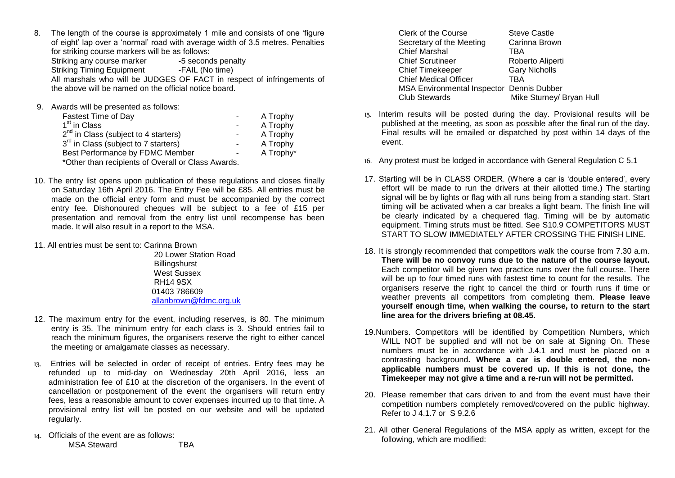8. The length of the course is approximately 1 mile and consists of one 'figure of eight' lap over a 'normal' road with average width of 3.5 metres. Penalties for striking course markers will be as follows:

Striking any course marker -5 seconds penalty<br>Striking Timing Equipment -FAIL (No time) Striking Timing Equipment All marshals who will be JUDGES OF FACT in respect of infringements of the above will be named on the official notice board.

9. Awards will be presented as follows:

| <b>Fastest Time of Day</b>                        | - 1    | A Trophy  |
|---------------------------------------------------|--------|-----------|
| 1 <sup>st</sup> in Class                          | $\sim$ | A Trophy  |
| $2^{nd}$ in Class (subject to 4 starters)         | $\sim$ | A Trophy  |
| 3 <sup>rd</sup> in Class (subject to 7 starters)  | Ξ.     | A Trophy  |
| Best Performance by FDMC Member                   | $\sim$ | A Trophy* |
| *Other than recipients of Overall or Class Awards |        |           |

\*Other than recipients of Overall or Class Awards.

- 10. The entry list opens upon publication of these regulations and closes finally on Saturday 16th April 2016. The Entry Fee will be £85. All entries must be made on the official entry form and must be accompanied by the correct entry fee. Dishonoured cheques will be subject to a fee of £15 per presentation and removal from the entry list until recompense has been made. It will also result in a report to the MSA.
- 11. All entries must be sent to: Carinna Brown

 20 Lower Station Road **Billingshurst**  West Sussex RH14 9SX 01403 786609 [allanbrown@fdmc.org.uk](mailto:allanbrown@fdmc.org.uk)

- 12. The maximum entry for the event, including reserves, is 80. The minimum entry is 35. The minimum entry for each class is 3. Should entries fail to reach the minimum figures, the organisers reserve the right to either cancel the meeting or amalgamate classes as necessary.
- 13. Entries will be selected in order of receipt of entries. Entry fees may be refunded up to mid-day on Wednesday 20th April 2016, less an administration fee of £10 at the discretion of the organisers. In the event of cancellation or postponement of the event the organisers will return entry fees, less a reasonable amount to cover expenses incurred up to that time. A provisional entry list will be posted on our website and will be updated regularly.
- 14. Officials of the event are as follows: MSA Steward **TBA**

Clerk of the Course Steve Castle Secretary of the Meeting Carinna Brown Chief Marshal TBA Chief Scrutineer Roberto Aliperti Chief Timekeeper Gary Nicholls<br>Chief Medical Officer TRA Chief Medical Officer MSA Environmental Inspector Dennis Dubber Club Stewards Mike Sturney/ Bryan Hull

- 15. Interim results will be posted during the day. Provisional results will be published at the meeting, as soon as possible after the final run of the day. Final results will be emailed or dispatched by post within 14 days of the event.
- 16. Any protest must be lodged in accordance with General Regulation C 5.1
- 17. Starting will be in CLASS ORDER. (Where a car is 'double entered', every effort will be made to run the drivers at their allotted time.) The starting signal will be by lights or flag with all runs being from a standing start. Start timing will be activated when a car breaks a light beam. The finish line will be clearly indicated by a chequered flag. Timing will be by automatic equipment. Timing struts must be fitted. See S10.9 COMPETITORS MUST START TO SLOW IMMEDIATELY AFTER CROSSING THE FINISH LINE.
- 18. It is strongly recommended that competitors walk the course from 7.30 a.m. **There will be no convoy runs due to the nature of the course layout.**  Each competitor will be given two practice runs over the full course. There will be up to four timed runs with fastest time to count for the results. The organisers reserve the right to cancel the third or fourth runs if time or weather prevents all competitors from completing them. **Please leave yourself enough time, when walking the course, to return to the start line area for the drivers briefing at 08.45.**
- 19.Numbers. Competitors will be identified by Competition Numbers, which WILL NOT be supplied and will not be on sale at Signing On. These numbers must be in accordance with J.4.1 and must be placed on a contrasting background**. Where a car is double entered, the nonapplicable numbers must be covered up. If this is not done, the Timekeeper may not give a time and a re-run will not be permitted.**
- 20. Please remember that cars driven to and from the event must have their competition numbers completely removed/covered on the public highway. Refer to J 4.1.7 or S 9.2.6
- 21. All other General Regulations of the MSA apply as written, except for the following, which are modified: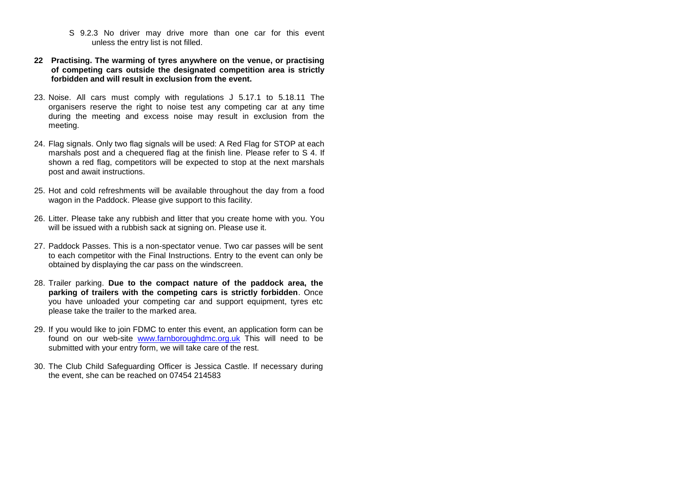- S 9.2.3 No driver may drive more than one car for this event unless the entry list is not filled.
- **22 Practising. The warming of tyres anywhere on the venue, or practising of competing cars outside the designated competition area is strictly forbidden and will result in exclusion from the event.**
- 23. Noise. All cars must comply with regulations J 5.17.1 to 5.18.11 The organisers reserve the right to noise test any competing car at any time during the meeting and excess noise may result in exclusion from the meeting.
- 24. Flag signals. Only two flag signals will be used: A Red Flag for STOP at each marshals post and a chequered flag at the finish line. Please refer to S 4. If shown a red flag, competitors will be expected to stop at the next marshals post and await instructions.
- 25. Hot and cold refreshments will be available throughout the day from a food wagon in the Paddock. Please give support to this facility.
- 26. Litter. Please take any rubbish and litter that you create home with you. You will be issued with a rubbish sack at signing on. Please use it.
- 27. Paddock Passes. This is a non-spectator venue. Two car passes will be sent to each competitor with the Final Instructions. Entry to the event can only be obtained by displaying the car pass on the windscreen.
- 28. Trailer parking. **Due to the compact nature of the paddock area, the parking of trailers with the competing cars is strictly forbidden**. Once you have unloaded your competing car and support equipment, tyres etc please take the trailer to the marked area.
- 29. If you would like to join FDMC to enter this event, an application form can be found on our web-site [www.farnboroughdmc.org.uk](http://www.farnboroughdmc.org.uk/) This will need to be submitted with your entry form, we will take care of the rest.
- 30. The Club Child Safeguarding Officer is Jessica Castle. If necessary during the event, she can be reached on 07454 214583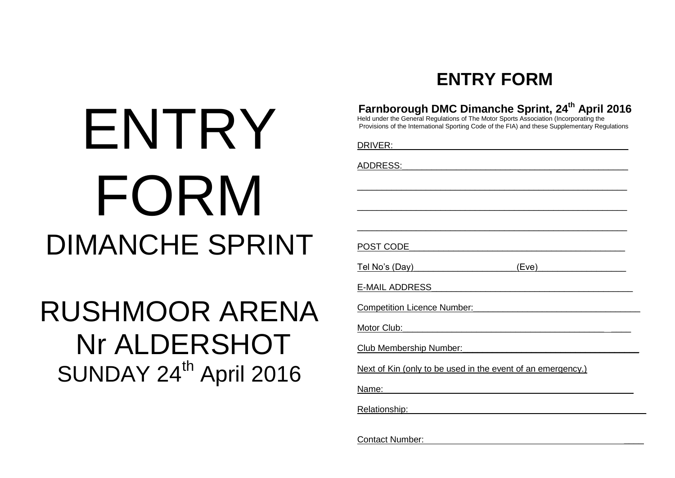# ENTRY FORM DIMANCHE SPRINT

# RUSHMOOR ARENA Nr ALDERSHOT SUNDAY 24<sup>th</sup> April 2016

## **ENTRY FORM**

| Farnborough DMC Dimanche Sprint, 24 <sup>th</sup> April 2016<br>Held under the General Regulations of The Motor Sports Association (Incorporating the<br>Provisions of the International Sporting Code of the FIA) and these Supplementary Regulations |
|--------------------------------------------------------------------------------------------------------------------------------------------------------------------------------------------------------------------------------------------------------|
| DRIVER: the contract of the contract of the contract of the contract of the contract of the contract of the contract of the contract of the contract of the contract of the contract of the contract of the contract of the co                         |
| ADDRESS: ADDRESS:                                                                                                                                                                                                                                      |
|                                                                                                                                                                                                                                                        |
|                                                                                                                                                                                                                                                        |
|                                                                                                                                                                                                                                                        |
| POST CODE POST CODE                                                                                                                                                                                                                                    |
| Tel No's (Day) (Eve)                                                                                                                                                                                                                                   |
| <u>E-MAIL ADDRESS Expression and the contract of the contract of the contract of the contract of the contract of the contract of the contract of the contract of the contract of the contract of the contract of the contract of</u>                   |
| <b>Competition Licence Number: Competition Licence Number:</b>                                                                                                                                                                                         |
|                                                                                                                                                                                                                                                        |
| Club Membership Number: Club Membership Number:                                                                                                                                                                                                        |
| Next of Kin (only to be used in the event of an emergency.)                                                                                                                                                                                            |
| Name: Name and Allen and Allen and Allen and Allen and Allen and Allen and Allen and Allen and Allen and Allen                                                                                                                                         |
| Relationship: the contract of the contract of the contract of the contract of the contract of the contract of the contract of the contract of the contract of the contract of the contract of the contract of the contract of                          |
| <b>Contact Number:</b>                                                                                                                                                                                                                                 |